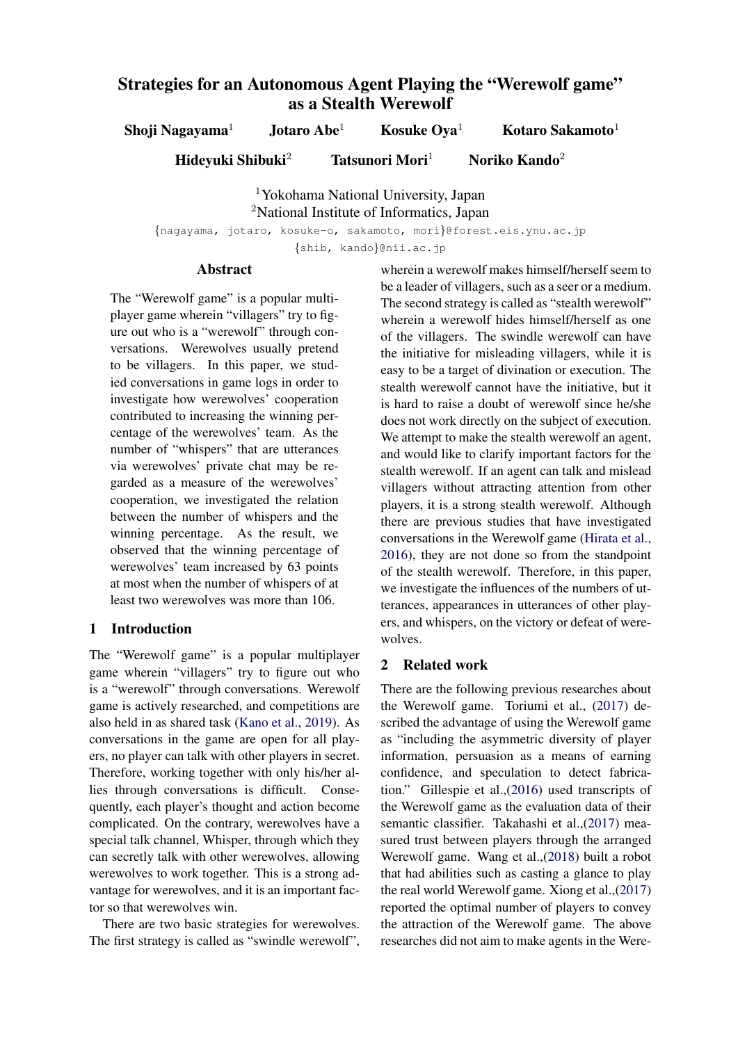# Strategies for an Autonomous Agent Playing the "Werewolf game" as a Stealth Werewolf

Shoji Nagayama<sup>1</sup> Jotaro Abe<sup>1</sup> Kosuke Oya<sup>1</sup> Kotaro Sakamoto<sup>1</sup>

Hideyuki Shibuki<sup>2</sup> Tatsunori Mori<sup>1</sup> Noriko Kando<sup>2</sup>

<sup>1</sup>Yokohama National University, Japan <sup>2</sup>National Institute of Informatics, Japan

*{*nagayama, jotaro, kosuke-o, sakamoto, mori*}*@forest.eis.ynu.ac.jp

*{*shib, kando*}*@nii.ac.jp

## **Abstract**

The "Werewolf game" is a popular multiplayer game wherein "villagers" try to figure out who is a "werewolf" through conversations. Werewolves usually pretend to be villagers. In this paper, we studied conversations in game logs in order to investigate how werewolves' cooperation contributed to increasing the winning percentage of the werewolves' team. As the number of "whispers" that are utterances via werewolves' private chat may be regarded as a measure of the werewolves' cooperation, we investigated the relation between the number of whispers and the winning percentage. As the result, we observed that the winning percentage of werewolves' team increased by 63 points at most when the number of whispers of at least two werewolves was more than 106.

## 1 Introduction

The "Werewolf game" is a popular multiplayer game wherein "villagers" try to figure out who is a "werewolf" through conversations. Werewolf game is actively researched, and competitions are also held in as shared task (Kano et al., 2019). As conversations in the game are open for all players, no player can talk with other players in secret. Therefore, working together with only his/her allies through conversations is difficult. Consequently, each player's thought and action become complicated. On the contrary, werewolves have a special talk channel, Whisper, through which they can secretly talk with other werewolves, allowing werewolves to work together. This is a strong advantage for werewolves, and it is an important factor so that werewolves win.

There are two basic strategies for werewolves. The first strategy is called as "swindle werewolf",

wherein a werewolf makes himself/herself seem to be a leader of villagers, such as a seer or a medium. The second strategy is called as "stealth werewolf" wherein a werewolf hides himself/herself as one of the villagers. The swindle werewolf can have the initiative for misleading villagers, while it is easy to be a target of divination or execution. The stealth werewolf cannot have the initiative, but it is hard to raise a doubt of werewolf since he/she does not work directly on the subject of execution. We attempt to make the stealth werewolf an agent, and would like to clarify important factors for the stealth werewolf. If an agent can talk and mislead villagers without attracting attention from other players, it is a strong stealth werewolf. Although there are previous studies that have investigated conversations in the Werewolf game (Hirata et al., 2016), they are not done so from the standpoint of the stealth werewolf. Therefore, in this paper, we investigate the influences of the numbers of utterances, appearances in utterances of other players, and whispers, on the victory or defeat of werewolves.

### 2 Related work

There are the following previous researches about the Werewolf game. Toriumi et al., (2017) described the advantage of using the Werewolf game as "including the asymmetric diversity of player information, persuasion as a means of earning confidence, and speculation to detect fabrication." Gillespie et al.,(2016) used transcripts of the Werewolf game as the evaluation data of their semantic classifier. Takahashi et al.,(2017) measured trust between players through the arranged Werewolf game. Wang et al.,(2018) built a robot that had abilities such as casting a glance to play the real world Werewolf game. Xiong et al.,(2017) reported the optimal number of players to convey the attraction of the Werewolf game. The above researches did not aim to make agents in the Were-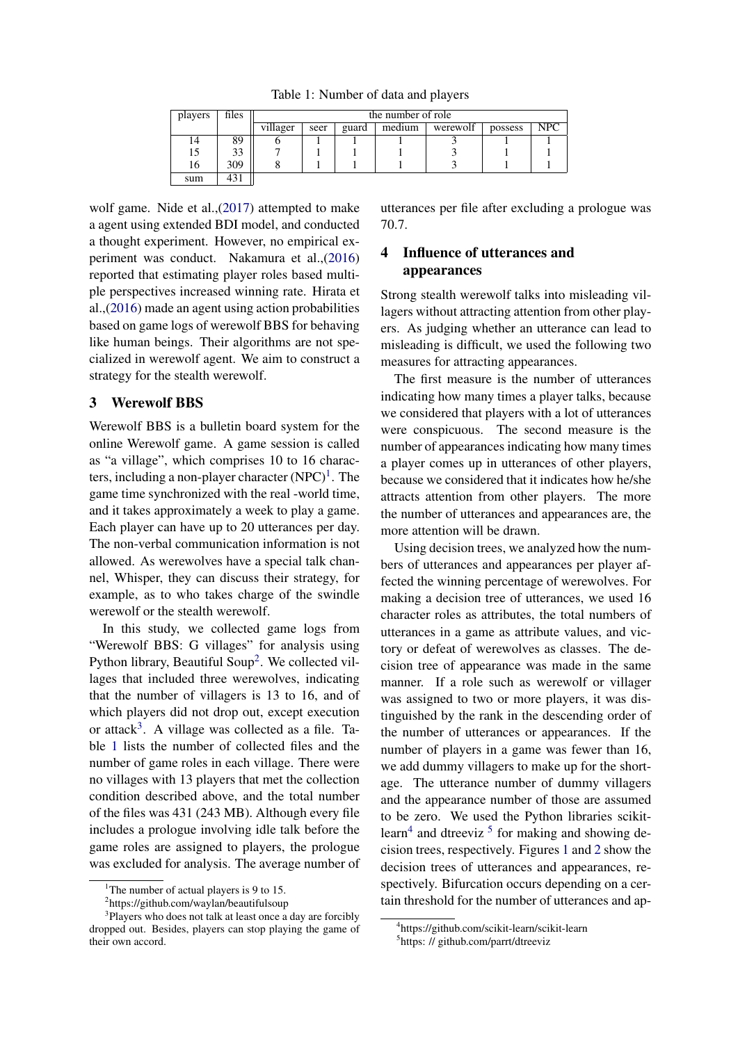Table 1: Number of data and players

| players | files | the number of role |      |       |        |          |         |            |
|---------|-------|--------------------|------|-------|--------|----------|---------|------------|
|         |       | villager           | seer | guard | medium | werewolf | possess | <b>NPC</b> |
|         | 89    |                    |      |       |        |          |         |            |
|         | 33    |                    |      |       |        |          |         |            |
| 16      | 309   |                    |      |       |        |          |         |            |
| sum     | 431   |                    |      |       |        |          |         |            |

wolf game. Nide et al.,(2017) attempted to make a agent using extended BDI model, and conducted a thought experiment. However, no empirical experiment was conduct. Nakamura et al.,(2016) reported that estimating player roles based multiple perspectives increased winning rate. Hirata et al.,(2016) made an agent using action probabilities based on game logs of werewolf BBS for behaving like human beings. Their algorithms are not specialized in werewolf agent. We aim to construct a strategy for the stealth werewolf.

### 3 Werewolf BBS

Werewolf BBS is a bulletin board system for the online Werewolf game. A game session is called as "a village", which comprises 10 to 16 characters, including a non-player character  $(NPC)^1$ . The game time synchronized with the real -world time, and it takes approximately a week to play a game. Each player can have up to 20 utterances per day. The non-verbal communication information is not allowed. As werewolves have a special talk channel, Whisper, they can discuss their strategy, for example, as to who takes charge of the swindle werewolf or the stealth werewolf.

In this study, we collected game logs from "Werewolf BBS: G villages" for analysis using Python library, Beautiful Soup<sup>2</sup>. We collected villages that included three werewolves, indicating that the number of villagers is 13 to 16, and of which players did not drop out, except execution or attack<sup>3</sup>. A village was collected as a file. Table 1 lists the number of collected files and the number of game roles in each village. There were no villages with 13 players that met the collection condition described above, and the total number of the files was 431 (243 MB). Although every file includes a prologue involving idle talk before the game roles are assigned to players, the prologue was excluded for analysis. The average number of

utterances per file after excluding a prologue was 70.7.

# 4 Influence of utterances and appearances

Strong stealth werewolf talks into misleading villagers without attracting attention from other players. As judging whether an utterance can lead to misleading is difficult, we used the following two measures for attracting appearances.

The first measure is the number of utterances indicating how many times a player talks, because we considered that players with a lot of utterances were conspicuous. The second measure is the number of appearances indicating how many times a player comes up in utterances of other players, because we considered that it indicates how he/she attracts attention from other players. The more the number of utterances and appearances are, the more attention will be drawn.

Using decision trees, we analyzed how the numbers of utterances and appearances per player affected the winning percentage of werewolves. For making a decision tree of utterances, we used 16 character roles as attributes, the total numbers of utterances in a game as attribute values, and victory or defeat of werewolves as classes. The decision tree of appearance was made in the same manner. If a role such as werewolf or villager was assigned to two or more players, it was distinguished by the rank in the descending order of the number of utterances or appearances. If the number of players in a game was fewer than 16, we add dummy villagers to make up for the shortage. The utterance number of dummy villagers and the appearance number of those are assumed to be zero. We used the Python libraries scikitlearn<sup>4</sup> and dtreeviz<sup>5</sup> for making and showing decision trees, respectively. Figures 1 and 2 show the decision trees of utterances and appearances, respectively. Bifurcation occurs depending on a certain threshold for the number of utterances and ap-

<sup>&</sup>lt;sup>1</sup>The number of actual players is 9 to 15.

<sup>2</sup> https://github.com/waylan/beautifulsoup

<sup>&</sup>lt;sup>3</sup>Players who does not talk at least once a day are forcibly dropped out. Besides, players can stop playing the game of their own accord.

<sup>4</sup> https://github.com/scikit-learn/scikit-learn

<sup>&</sup>lt;sup>5</sup>https: // github.com/parrt/dtreeviz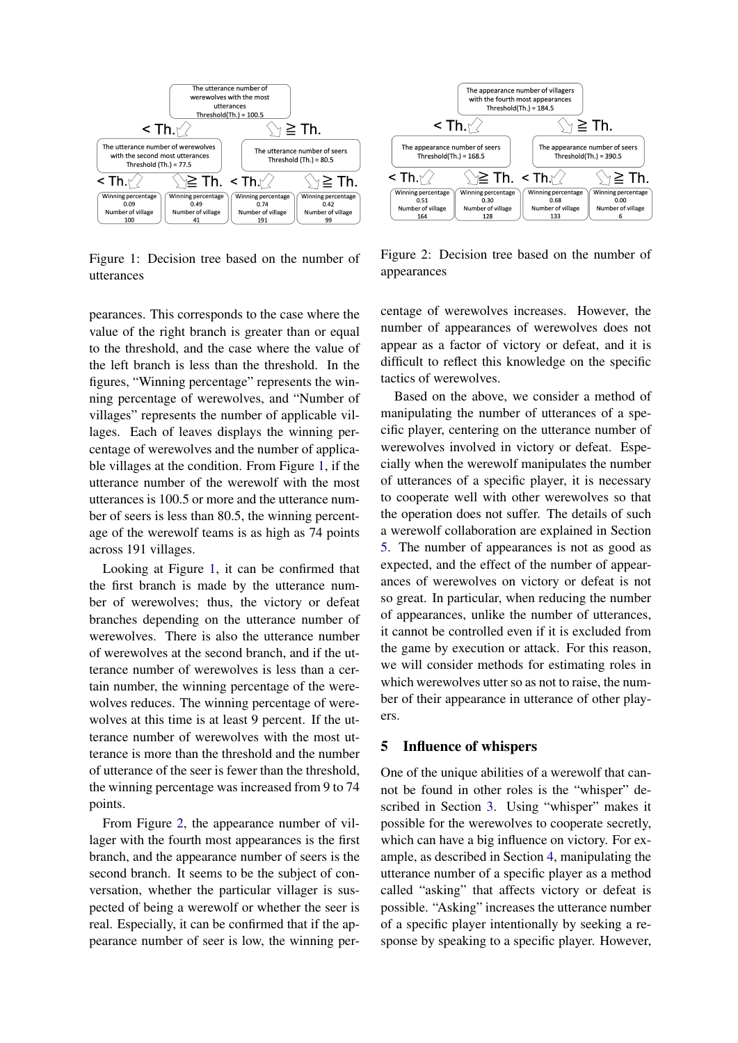

Figure 1: Decision tree based on the number of utterances

pearances. This corresponds to the case where the value of the right branch is greater than or equal to the threshold, and the case where the value of the left branch is less than the threshold. In the figures, "Winning percentage" represents the winning percentage of werewolves, and "Number of villages" represents the number of applicable villages. Each of leaves displays the winning percentage of werewolves and the number of applicable villages at the condition. From Figure 1, if the utterance number of the werewolf with the most utterances is 100.5 or more and the utterance number of seers is less than 80.5, the winning percentage of the werewolf teams is as high as 74 points across 191 villages.

Looking at Figure 1, it can be confirmed that the first branch is made by the utterance number of werewolves; thus, the victory or defeat branches depending on the utterance number of werewolves. There is also the utterance number of werewolves at the second branch, and if the utterance number of werewolves is less than a certain number, the winning percentage of the werewolves reduces. The winning percentage of werewolves at this time is at least 9 percent. If the utterance number of werewolves with the most utterance is more than the threshold and the number of utterance of the seer is fewer than the threshold, the winning percentage was increased from 9 to 74 points.

From Figure 2, the appearance number of villager with the fourth most appearances is the first branch, and the appearance number of seers is the second branch. It seems to be the subject of conversation, whether the particular villager is suspected of being a werewolf or whether the seer is real. Especially, it can be confirmed that if the appearance number of seer is low, the winning per-



Figure 2: Decision tree based on the number of appearances

centage of werewolves increases. However, the number of appearances of werewolves does not appear as a factor of victory or defeat, and it is difficult to reflect this knowledge on the specific tactics of werewolves.

Based on the above, we consider a method of manipulating the number of utterances of a specific player, centering on the utterance number of werewolves involved in victory or defeat. Especially when the werewolf manipulates the number of utterances of a specific player, it is necessary to cooperate well with other werewolves so that the operation does not suffer. The details of such a werewolf collaboration are explained in Section 5. The number of appearances is not as good as expected, and the effect of the number of appearances of werewolves on victory or defeat is not so great. In particular, when reducing the number of appearances, unlike the number of utterances, it cannot be controlled even if it is excluded from the game by execution or attack. For this reason, we will consider methods for estimating roles in which werewolves utter so as not to raise, the number of their appearance in utterance of other players.

### 5 Influence of whispers

One of the unique abilities of a werewolf that cannot be found in other roles is the "whisper" described in Section 3. Using "whisper" makes it possible for the werewolves to cooperate secretly, which can have a big influence on victory. For example, as described in Section 4, manipulating the utterance number of a specific player as a method called "asking" that affects victory or defeat is possible. "Asking" increases the utterance number of a specific player intentionally by seeking a response by speaking to a specific player. However,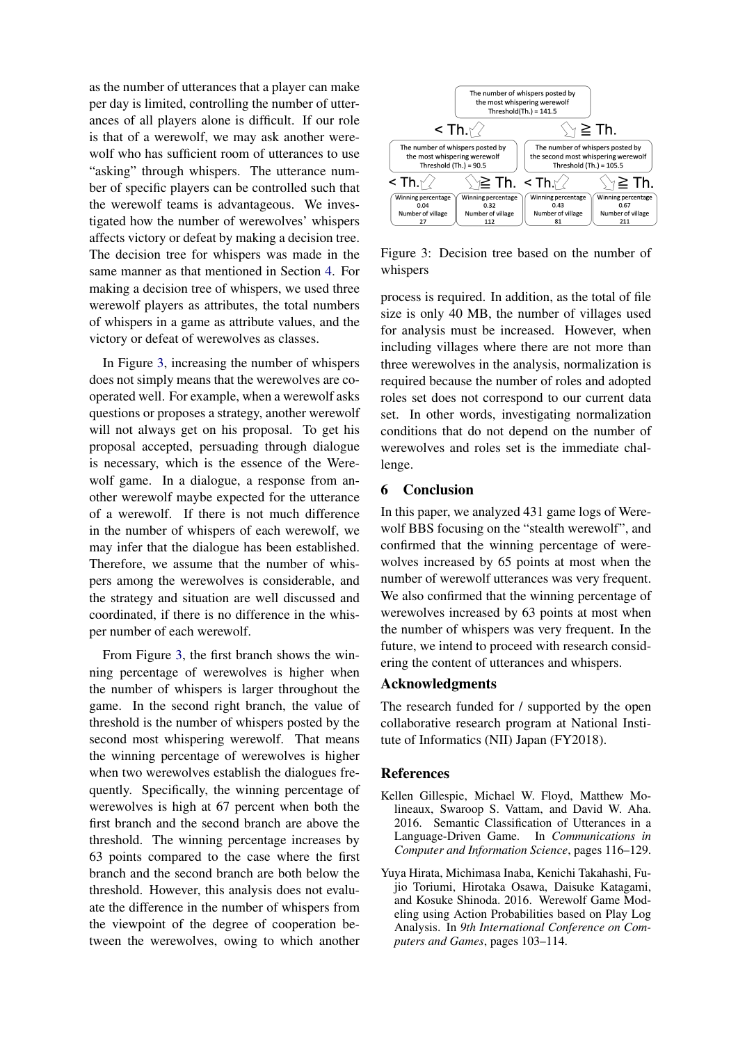as the number of utterances that a player can make per day is limited, controlling the number of utterances of all players alone is difficult. If our role is that of a werewolf, we may ask another werewolf who has sufficient room of utterances to use "asking" through whispers. The utterance number of specific players can be controlled such that the werewolf teams is advantageous. We investigated how the number of werewolves' whispers affects victory or defeat by making a decision tree. The decision tree for whispers was made in the same manner as that mentioned in Section 4. For making a decision tree of whispers, we used three werewolf players as attributes, the total numbers of whispers in a game as attribute values, and the victory or defeat of werewolves as classes.

In Figure 3, increasing the number of whispers does not simply means that the werewolves are cooperated well. For example, when a werewolf asks questions or proposes a strategy, another werewolf will not always get on his proposal. To get his proposal accepted, persuading through dialogue is necessary, which is the essence of the Werewolf game. In a dialogue, a response from another werewolf maybe expected for the utterance of a werewolf. If there is not much difference in the number of whispers of each werewolf, we may infer that the dialogue has been established. Therefore, we assume that the number of whispers among the werewolves is considerable, and the strategy and situation are well discussed and coordinated, if there is no difference in the whisper number of each werewolf.

From Figure 3, the first branch shows the winning percentage of werewolves is higher when the number of whispers is larger throughout the game. In the second right branch, the value of threshold is the number of whispers posted by the second most whispering werewolf. That means the winning percentage of werewolves is higher when two werewolves establish the dialogues frequently. Specifically, the winning percentage of werewolves is high at 67 percent when both the first branch and the second branch are above the threshold. The winning percentage increases by 63 points compared to the case where the first branch and the second branch are both below the threshold. However, this analysis does not evaluate the difference in the number of whispers from the viewpoint of the degree of cooperation between the werewolves, owing to which another



Figure 3: Decision tree based on the number of whispers

process is required. In addition, as the total of file size is only 40 MB, the number of villages used for analysis must be increased. However, when including villages where there are not more than three werewolves in the analysis, normalization is required because the number of roles and adopted roles set does not correspond to our current data set. In other words, investigating normalization conditions that do not depend on the number of werewolves and roles set is the immediate challenge.

### 6 Conclusion

In this paper, we analyzed 431 game logs of Werewolf BBS focusing on the "stealth werewolf", and confirmed that the winning percentage of werewolves increased by 65 points at most when the number of werewolf utterances was very frequent. We also confirmed that the winning percentage of werewolves increased by 63 points at most when the number of whispers was very frequent. In the future, we intend to proceed with research considering the content of utterances and whispers.

### Acknowledgments

The research funded for / supported by the open collaborative research program at National Institute of Informatics (NII) Japan (FY2018).

#### References

- Kellen Gillespie, Michael W. Floyd, Matthew Molineaux, Swaroop S. Vattam, and David W. Aha. 2016. Semantic Classification of Utterances in a Language-Driven Game. In *Communications in Computer and Information Science*, pages 116–129.
- Yuya Hirata, Michimasa Inaba, Kenichi Takahashi, Fujio Toriumi, Hirotaka Osawa, Daisuke Katagami, and Kosuke Shinoda. 2016. Werewolf Game Modeling using Action Probabilities based on Play Log Analysis. In *9th International Conference on Computers and Games*, pages 103–114.